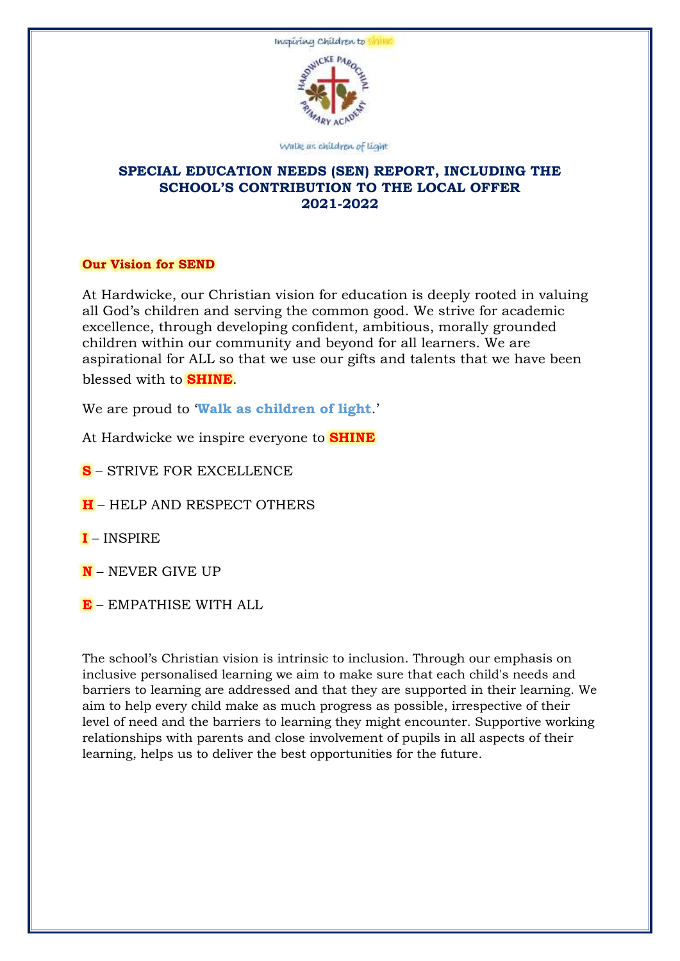

#### Walk as children of light

# **SPECIAL EDUCATION NEEDS (SEN) REPORT, INCLUDING THE SCHOOL'S CONTRIBUTION TO THE LOCAL OFFER 2021-2022**

## **Our Vision for SEND**

At Hardwicke, our Christian vision for education is deeply rooted in valuing all God's children and serving the common good. We strive for academic excellence, through developing confident, ambitious, morally grounded children within our community and beyond for all learners. We are aspirational for ALL so that we use our gifts and talents that we have been blessed with to **SHINE**.

We are proud to '**Walk as children of light**.'

At Hardwicke we inspire everyone to **SHINE**

**S** – STRIVE FOR EXCELLENCE

**H** – HELP AND RESPECT OTHERS

- **I** INSPIRE
- **N** NEVER GIVE UP
- **E** EMPATHISE WITH ALL

The school's Christian vision is intrinsic to inclusion. Through our emphasis on inclusive personalised learning we aim to make sure that each child's needs and barriers to learning are addressed and that they are supported in their learning. We aim to help every child make as much progress as possible, irrespective of their level of need and the barriers to learning they might encounter. Supportive working relationships with parents and close involvement of pupils in all aspects of their learning, helps us to deliver the best opportunities for the future.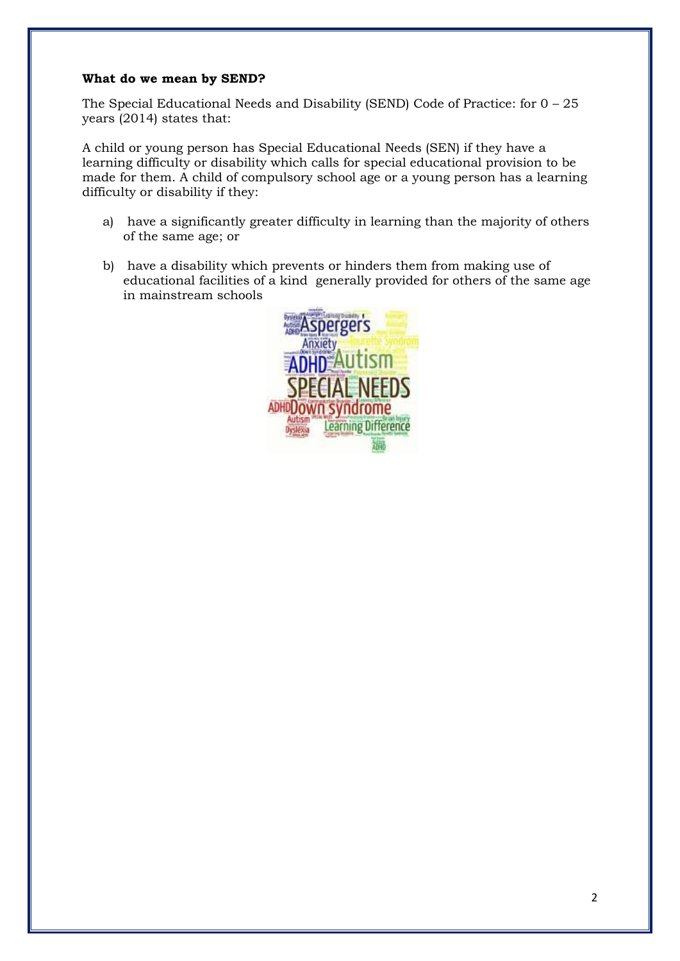## **What do we mean by SEND?**

The Special Educational Needs and Disability (SEND) Code of Practice: for 0 – 25 years (2014) states that:

A child or young person has Special Educational Needs (SEN) if they have a learning difficulty or disability which calls for special educational provision to be made for them. A child of compulsory school age or a young person has a learning difficulty or disability if they:

- a) have a significantly greater difficulty in learning than the majority of others of the same age; or
- b) have a disability which prevents or hinders them from making use of educational facilities of a kind generally provided for others of the same age in mainstream schools

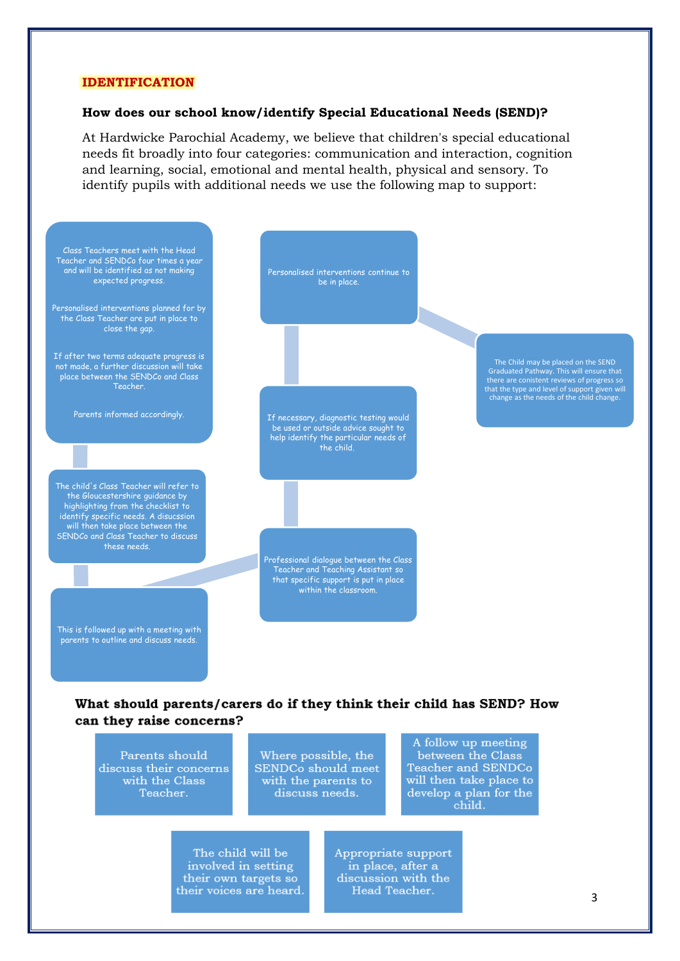#### **IDENTIFICATION**

#### **How does our school know/identify Special Educational Needs (SEND)?**

At Hardwicke Parochial Academy, we believe that children's special educational needs fit broadly into four categories: communication and interaction, cognition and learning, social, emotional and mental health, physical and sensory. To identify pupils with additional needs we use the following map to support:



# can they raise concerns?

A follow up meeting Parents should between the Class Where possible, the Teacher and SENDCo discuss their concerns SENDCo should meet with the Class will then take place to with the parents to Teacher. develop a plan for the discuss needs. child. The child will be Appropriate support

involved in setting their own targets so their voices are heard.

in place, after a discussion with the Head Teacher.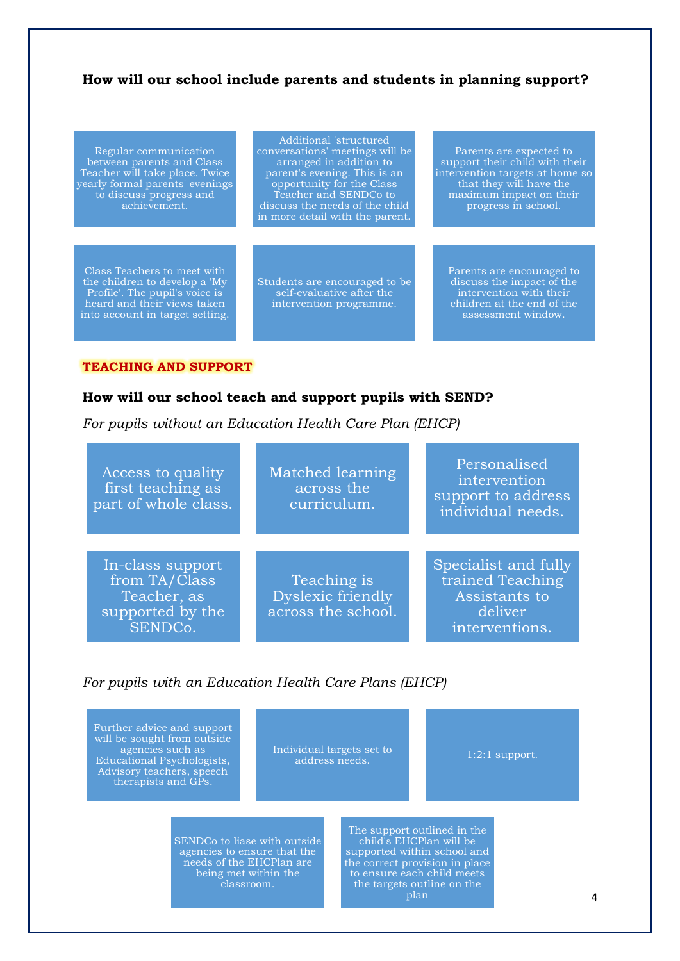# **How will our school include parents and students in planning support?**

Regular communication between parents and Class Teacher will take place. Twice yearly formal parents' evenings to discuss progress and achievement.

Class Teachers to meet with the children to develop a 'My Profile'. The pupil's voice is heard and their views taken into account in target setting.

Additional 'structured conversations' meetings will be arranged in addition to parent's evening. This is an opportunity for the Class Teacher and SENDCo to discuss the needs of the child in more detail with the parent.

Students are encouraged to be self-evaluative after the intervention programme.

Parents are expected to support their child with their intervention targets at home so that they will have the maximum impact on their progress in school.

Parents are encouraged to discuss the impact of the intervention with their children at the end of the assessment window.

#### **TEACHING AND SUPPORT**

### **How will our school teach and support pupils with SEND?**

*For pupils without an Education Health Care Plan (EHCP)*

| <b>Access to quality</b><br>first teaching as<br>part of whole class.           | Matched learning<br>across the<br>curriculum.                 | Personalised<br>intervention<br>support to address<br>individual needs.                |
|---------------------------------------------------------------------------------|---------------------------------------------------------------|----------------------------------------------------------------------------------------|
| In-class support<br>from TA/Class<br>Teacher, as<br>supported by the<br>SENDCo. | Teaching is<br><b>Dyslexic friendly</b><br>across the school. | Specialist and fully<br>trained Teaching<br>Assistants to<br>deliver<br>interventions. |

## *For pupils with an Education Health Care Plans (EHCP)*

Further advice and support will be sought from outside agencies such as Educational Psychologists, Advisory teachers, speech therapists and GPs.

Individual targets set to vidual targets set to <br>address needs. 1:2:1 support.

SENDCo to liase with outside agencies to ensure that the needs of the EHCPlan are being met within the classroom.

The support outlined in the child's EHCPlan will be supported within school and the correct provision in place to ensure each child meets the targets outline on the plan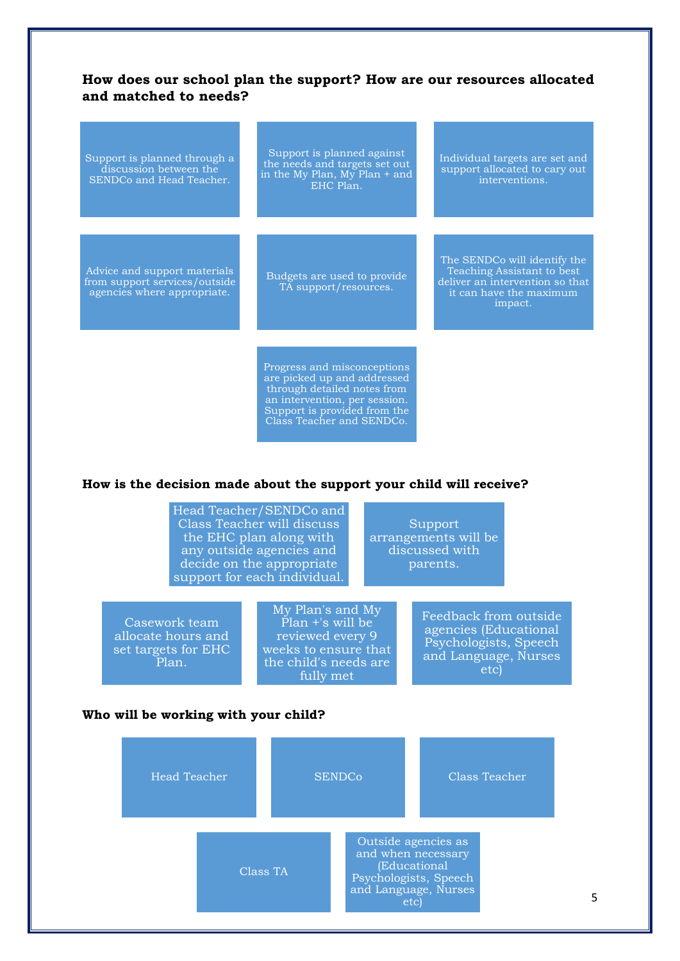# **How does our school plan the support? How are our resources allocated and matched to needs?**

| Support is planned through a<br>discussion between the<br>SENDCo and Head Teacher.           | Support is planned against<br>the needs and targets set out<br>in the My Plan, $My$ Plan + and<br>EHC Plan. | Individual targets are set and<br>support allocated to cary out<br>interventions.                                                   |
|----------------------------------------------------------------------------------------------|-------------------------------------------------------------------------------------------------------------|-------------------------------------------------------------------------------------------------------------------------------------|
| Advice and support materials<br>from support services/outside<br>agencies where appropriate. | Budgets are used to provide<br>TA support/resources.                                                        | The SENDCo will identify the<br>Teaching Assistant to best<br>deliver an intervention so that<br>it can have the maximum<br>impact. |
|                                                                                              | Progress and misconceptions<br>are picked up and addressed<br>through detailed notes from                   |                                                                                                                                     |

an intervention, per session. Support is provided from the Class Teacher and SENDCo.

## **How is the decision made about the support your child will receive?**

|                                                                     | Head Teacher/SENDCo and<br>Class Teacher will discuss<br>the EHC plan along with<br>any outside agencies and<br>decide on the appropriate<br>support for each individual. | Support<br>arrangements will be<br>discussed with<br>parents. |                                                                                                         |  |
|---------------------------------------------------------------------|---------------------------------------------------------------------------------------------------------------------------------------------------------------------------|---------------------------------------------------------------|---------------------------------------------------------------------------------------------------------|--|
| Casework team<br>allocate hours and<br>set targets for EHC<br>Plan. | My Plan's and My<br>Plan +'s will be<br>reviewed every 9<br>weeks to ensure that<br>the child's needs are<br>fully met                                                    |                                                               | Feedback from outside<br>agencies (Educational<br>Psychologists, Speech<br>and Language, Nurses<br>etc) |  |

#### **Who will be working with your child?**

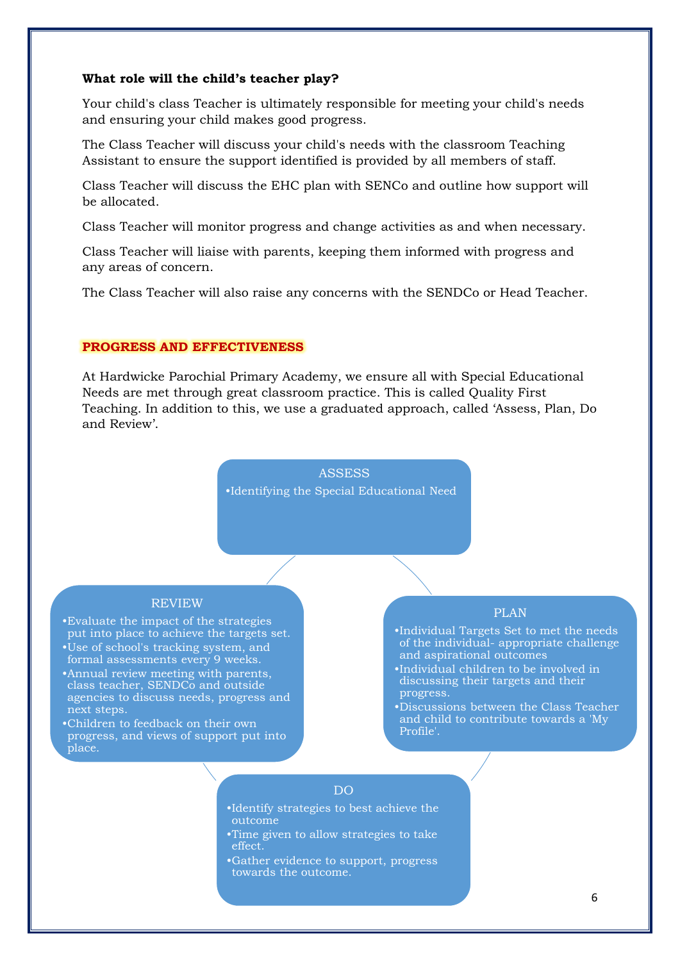#### **What role will the child's teacher play?**

Your child's class Teacher is ultimately responsible for meeting your child's needs and ensuring your child makes good progress.

The Class Teacher will discuss your child's needs with the classroom Teaching Assistant to ensure the support identified is provided by all members of staff.

Class Teacher will discuss the EHC plan with SENCo and outline how support will be allocated.

Class Teacher will monitor progress and change activities as and when necessary.

Class Teacher will liaise with parents, keeping them informed with progress and any areas of concern.

The Class Teacher will also raise any concerns with the SENDCo or Head Teacher.

## **PROGRESS AND EFFECTIVENESS**

At Hardwicke Parochial Primary Academy, we ensure all with Special Educational Needs are met through great classroom practice. This is called Quality First Teaching. In addition to this, we use a graduated approach, called 'Assess, Plan, Do and Review'.



#### REVIEW

•Evaluate the impact of the strategies put into place to achieve the targets set.

- •Use of school's tracking system, and formal assessments every 9 weeks.
- •Annual review meeting with parents, class teacher, SENDCo and outside agencies to discuss needs, progress and next steps.
- •Children to feedback on their own progress, and views of support put into place.

#### PLAN

•Individual Targets Set to met the needs of the individual- appropriate challenge and aspirational outcomes

- •Individual children to be involved in discussing their targets and their progress.
- •Discussions between the Class Teacher and child to contribute towards a 'My Profile'.

## DO

- •Identify strategies to best achieve the outcome
- •Time given to allow strategies to take effect.
- •Gather evidence to support, progress towards the outcome.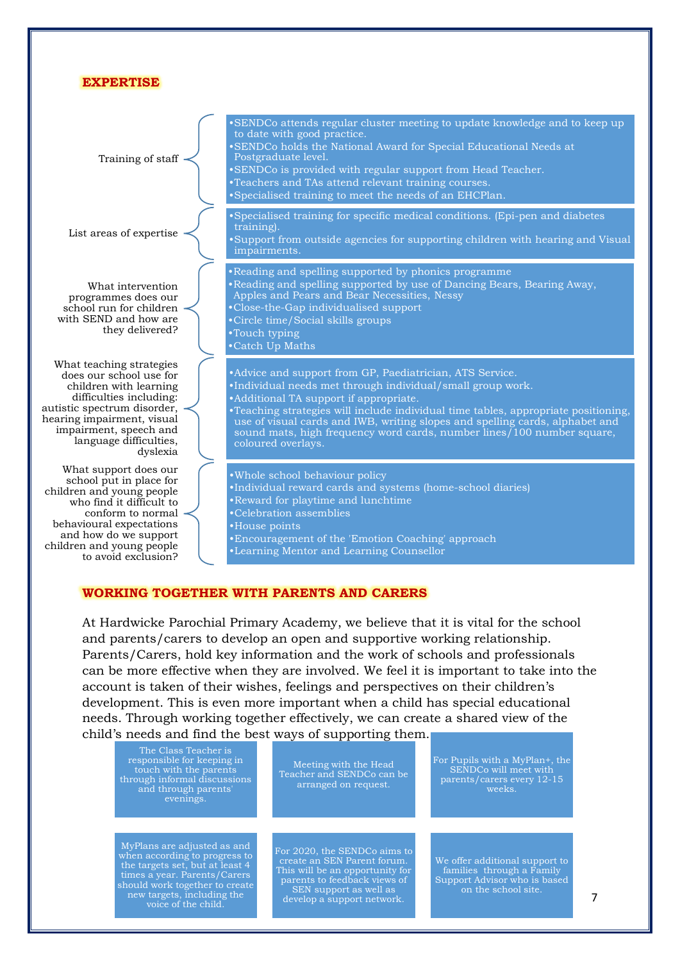| <b>EXPERTISE</b>                                                                                                                                                                                                                        |                                                                                                                                                                                                                                                                                                                                                                                                                                          |
|-----------------------------------------------------------------------------------------------------------------------------------------------------------------------------------------------------------------------------------------|------------------------------------------------------------------------------------------------------------------------------------------------------------------------------------------------------------------------------------------------------------------------------------------------------------------------------------------------------------------------------------------------------------------------------------------|
| Training of staff                                                                                                                                                                                                                       | •SENDCo attends regular cluster meeting to update knowledge and to keep up<br>to date with good practice.<br>•SENDCo holds the National Award for Special Educational Needs at<br>Postgraduate level.<br>•SENDCo is provided with regular support from Head Teacher.<br>•Teachers and TAs attend relevant training courses.<br>•Specialised training to meet the needs of an EHCPlan.                                                    |
| List areas of expertise                                                                                                                                                                                                                 | • Specialised training for specific medical conditions. (Epi-pen and diabetes<br>training).<br>.Support from outside agencies for supporting children with hearing and Visual<br>impairments.                                                                                                                                                                                                                                            |
| What intervention<br>programmes does our<br>school run for children<br>with SEND and how are<br>they delivered?                                                                                                                         | • Reading and spelling supported by phonics programme<br>•Reading and spelling supported by use of Dancing Bears, Bearing Away,<br>Apples and Pears and Bear Necessities, Nessy<br>•Close-the-Gap individualised support<br>•Circle time/Social skills groups<br>•Touch typing<br>•Catch Up Maths                                                                                                                                        |
| What teaching strategies<br>does our school use for<br>children with learning<br>difficulties including:<br>autistic spectrum disorder,<br>hearing impairment, visual<br>impairment, speech and<br>language difficulties,<br>dyslexia   | • Advice and support from GP, Paediatrician, ATS Service.<br>•Individual needs met through individual/small group work.<br>• Additional TA support if appropriate.<br>.Teaching strategies will include individual time tables, appropriate positioning,<br>use of visual cards and IWB, writing slopes and spelling cards, alphabet and<br>sound mats, high frequency word cards, number lines 100 number square,<br>coloured overlays. |
| What support does our<br>school put in place for<br>children and young people<br>who find it difficult to<br>conform to normal<br>behavioural expectations<br>and how do we support<br>children and young people<br>to avoid exclusion? | . Whole school behaviour policy<br>•Individual reward cards and systems (home-school diaries)<br>•Reward for playtime and lunchtime<br>•Celebration assemblies<br>•House points<br>• Encouragement of the 'Emotion Coaching' approach<br>•Learning Mentor and Learning Counsellor                                                                                                                                                        |

# **WORKING TOGETHER WITH PARENTS AND CARERS**

At Hardwicke Parochial Primary Academy, we believe that it is vital for the school and parents/carers to develop an open and supportive working relationship. Parents/Carers, hold key information and the work of schools and professionals can be more effective when they are involved. We feel it is important to take into the account is taken of their wishes, feelings and perspectives on their children's development. This is even more important when a child has special educational needs. Through working together effectively, we can create a shared view of the child's needs and find the best ways of supporting them.

| The Class Teacher is<br>responsible for keeping in<br>touch with the parents<br>through informal discussions<br>and through parents'<br>evenings.                                                                      | Meeting with the Head<br>Teacher and SENDCo can be<br>arranged on request.                                                                                                             | For Pupils with a MyPlan+, the<br>SENDC <sub>o</sub> will meet with<br>parents/carers every 12-15<br>weeks.        |  |
|------------------------------------------------------------------------------------------------------------------------------------------------------------------------------------------------------------------------|----------------------------------------------------------------------------------------------------------------------------------------------------------------------------------------|--------------------------------------------------------------------------------------------------------------------|--|
| MyPlans are adjusted as and<br>when according to progress to<br>the targets set, but at least 4<br>times a year. Parents/Carers<br>should work together to create<br>new targets, including the<br>voice of the child. | For 2020, the SENDCo aims to<br>create an SEN Parent forum.<br>This will be an opportunity for<br>parents to feedback views of<br>SEN support as well as<br>develop a support network. | We offer additional support to<br>families through a Family<br>Support Advisor who is based<br>on the school site. |  |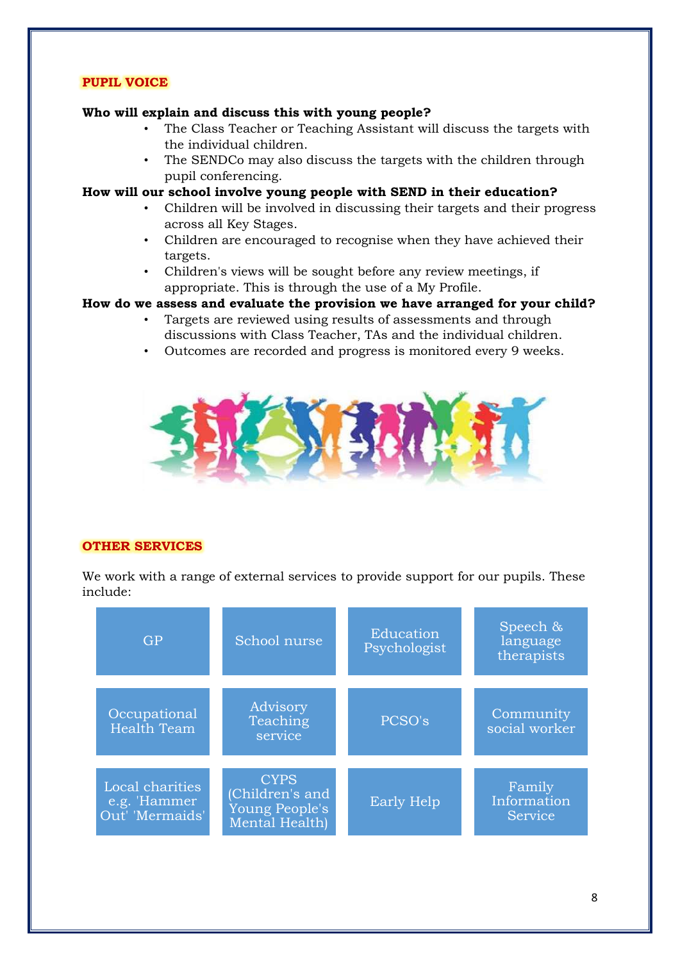# **PUPIL VOICE**

## **Who will explain and discuss this with young people?**

- The Class Teacher or Teaching Assistant will discuss the targets with the individual children.
- The SENDCo may also discuss the targets with the children through pupil conferencing.

## **How will our school involve young people with SEND in their education?**

- Children will be involved in discussing their targets and their progress across all Key Stages.
- Children are encouraged to recognise when they have achieved their targets.
- Children's views will be sought before any review meetings, if appropriate. This is through the use of a My Profile.

## **How do we assess and evaluate the provision we have arranged for your child?**

- Targets are reviewed using results of assessments and through discussions with Class Teacher, TAs and the individual children.
- Outcomes are recorded and progress is monitored every 9 weeks.



## **OTHER SERVICES**

We work with a range of external services to provide support for our pupils. These include:

| <b>GP</b>                                          | School nurse                                                       | Education<br>Psychologist |                                  |
|----------------------------------------------------|--------------------------------------------------------------------|---------------------------|----------------------------------|
| Occupational<br><b>Health Team</b>                 | Advisory<br>Teaching<br>service                                    | PCSO's                    | Community<br>social worker       |
| Local charities<br>e.g. 'Hammer<br>Out' 'Mermaids' | <b>CYPS</b><br>(Children's and<br>Young People's<br>Mental Health) | <b>Early Help</b>         | Family<br>Information<br>Service |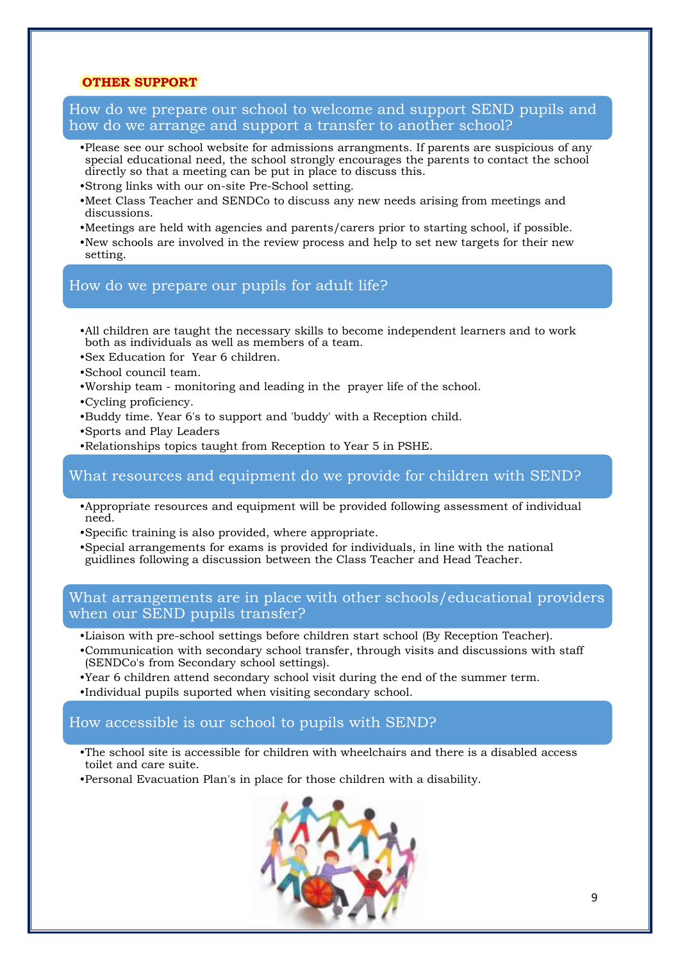## **OTHER SUPPORT**

How do we prepare our school to welcome and support SEND pupils and how do we arrange and support a transfer to another school?

- •Please see our school website for admissions arrangments. If parents are suspicious of any special educational need, the school strongly encourages the parents to contact the school directly so that a meeting can be put in place to discuss this.
- •Strong links with our on-site Pre-School setting.
- •Meet Class Teacher and SENDCo to discuss any new needs arising from meetings and discussions.
- •Meetings are held with agencies and parents/carers prior to starting school, if possible.
- •New schools are involved in the review process and help to set new targets for their new setting.

## How do we prepare our pupils for adult life?

- •All children are taught the necessary skills to become independent learners and to work both as individuals as well as members of a team.
- •Sex Education for Year 6 children.
- •School council team.
- •Worship team monitoring and leading in the prayer life of the school.
- •Cycling proficiency.
- •Buddy time. Year 6's to support and 'buddy' with a Reception child.
- •Sports and Play Leaders
- •Relationships topics taught from Reception to Year 5 in PSHE.

## What resources and equipment do we provide for children with SEND?

- •Appropriate resources and equipment will be provided following assessment of individual need.
- •Specific training is also provided, where appropriate.
- •Special arrangements for exams is provided for individuals, in line with the national guidlines following a discussion between the Class Teacher and Head Teacher.

# What arrangements are in place with other schools/educational providers when our SEND pupils transfer?

- •Liaison with pre-school settings before children start school (By Reception Teacher).
- •Communication with secondary school transfer, through visits and discussions with staff (SENDCo's from Secondary school settings).
- •Year 6 children attend secondary school visit during the end of the summer term.
- •Individual pupils suported when visiting secondary school.

# How accessible is our school to pupils with SEND?

- •The school site is accessible for children with wheelchairs and there is a disabled access toilet and care suite.
- •Personal Evacuation Plan's in place for those children with a disability.